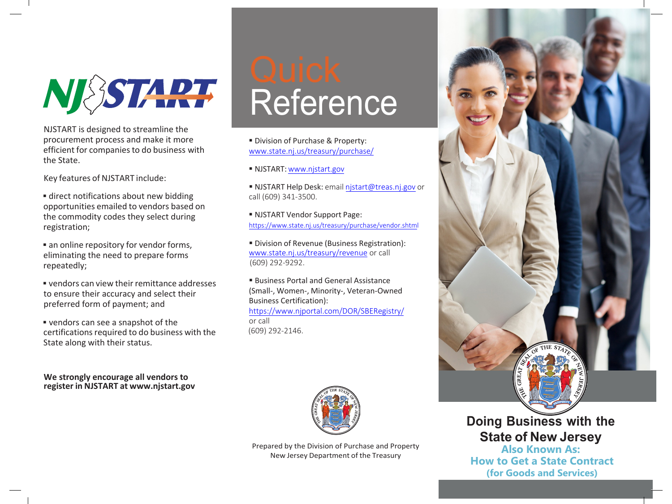NI SSTART

NJSTART is designed to streamline the procurement process and make it more efficient for companies to do business with the State.

Key features of NJSTART include:

 direct notifications about new bidding opportunities emailed to vendors based on the commodity codes they select during registration;

**an online repository for vendor forms,** eliminating the need to prepare forms repeatedly;

 vendors can view their remittance addresses to ensure their accuracy and select their preferred form of payment; and

 vendors can see a snapshot of the certifications required to do business with the State along with their status.

**We strongly encourage all vendors to register in NJSTART at [www.njstart.gov](http://www.njstart.gov/)**

# Quick Reference

**Division of Purchase & Property:** [www.state.nj.us/treasury/purchase/](http://www.state.nj.us/treasury/purchase/)

■ NJSTART: [www.njstart.gov](http://www.njstart.gov/)

■ NJSTART Help Desk: email [njstart@treas.nj.gov](mailto:njstart@treas.nj.gov) or call (609) 341-3500.

 NJSTART Vendor Support Page: [https://www.state.nj.us/treasury/purchase/vendor.shtml](http://www.state.nj.us/treasury/purchase/vendor.shtml)

**Division of Revenue (Business Registration):** [www.state.nj.us/treasury/revenue](http://www.state.nj.us/treasury/revenue) or call (609) 292-9292.

 Business Portal and General Assistance (Small-, Women-, Minority-, Veteran-Owned Business Certification): <https://www.njportal.com/DOR/SBERegistry/>

or call (609) 292-2146.



Prepared by the Division of Purchase and Property New Jersey Department of the Treasury



**Doing Business with the State of New Jersey**

**Also Known As: How to Get a State Contract (for Goods and Services)**